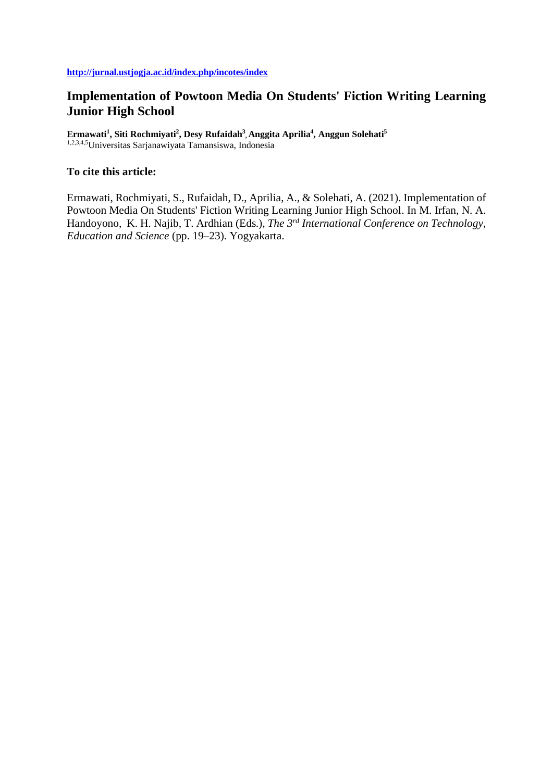# **Implementation of Powtoon Media On Students' Fiction Writing Learning Junior High School**

**Ermawati<sup>1</sup> , Siti Rochmiyati<sup>2</sup> , Desy Rufaidah<sup>3</sup> , Anggita Aprilia<sup>4</sup> , Anggun Solehati<sup>5</sup>** 1,2,3,4,5Universitas Sarjanawiyata Tamansiswa, Indonesia

## **To cite this article:**

Ermawati, Rochmiyati, S., Rufaidah, D., Aprilia, A., & Solehati, A. (2021). Implementation of Powtoon Media On Students' Fiction Writing Learning Junior High School. In M. Irfan, N. A. Handoyono, K. H. Najib, T. Ardhian (Eds.), *The 3rd International Conference on Technology, Education and Science* (pp. 19–23). Yogyakarta.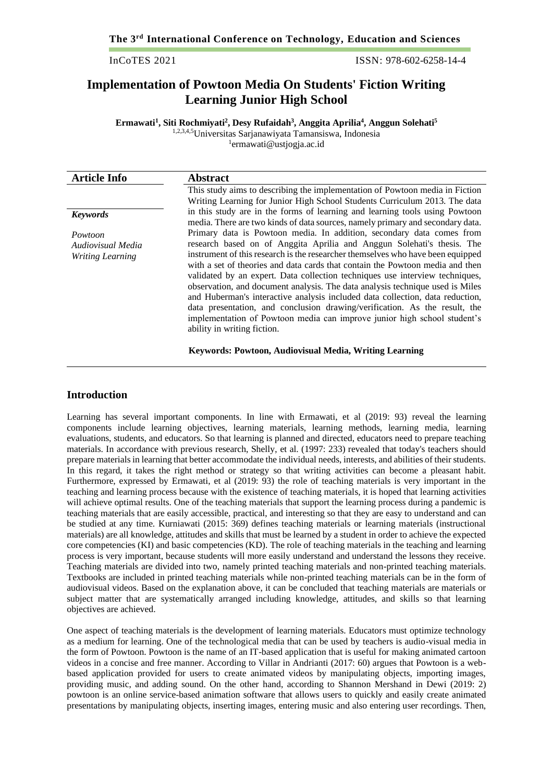InCoTES 2021 ISSN: 978-602-6258-14-4

# **Implementation of Powtoon Media On Students' Fiction Writing Learning Junior High School**

**Ermawati<sup>1</sup> , Siti Rochmiyati<sup>2</sup> , Desy Rufaidah<sup>3</sup> , Anggita Aprilia<sup>4</sup> , Anggun Solehati<sup>5</sup>** 1,2,3,4,5Universitas Sarjanawiyata Tamansiswa, Indonesia 1 [ermawati@ustjogja.ac.id](mailto:ermawati@ustjogja.ac.id)

| <b>Article Info</b>                                     | <b>Abstract</b>                                                                                                                                                                                                                                                                                                                                                                                                                                                                                                                                                                                                                                                                                                                                                                                                          |
|---------------------------------------------------------|--------------------------------------------------------------------------------------------------------------------------------------------------------------------------------------------------------------------------------------------------------------------------------------------------------------------------------------------------------------------------------------------------------------------------------------------------------------------------------------------------------------------------------------------------------------------------------------------------------------------------------------------------------------------------------------------------------------------------------------------------------------------------------------------------------------------------|
|                                                         | This study aims to describing the implementation of Powtoon media in Fiction<br>Writing Learning for Junior High School Students Curriculum 2013. The data                                                                                                                                                                                                                                                                                                                                                                                                                                                                                                                                                                                                                                                               |
| <b>Keywords</b>                                         | in this study are in the forms of learning and learning tools using Powtoon<br>media. There are two kinds of data sources, namely primary and secondary data.                                                                                                                                                                                                                                                                                                                                                                                                                                                                                                                                                                                                                                                            |
| Powtoon<br>Audiovisual Media<br><b>Writing Learning</b> | Primary data is Powtoon media. In addition, secondary data comes from<br>research based on of Anggita Aprilia and Anggun Solehati's thesis. The<br>instrument of this research is the researcher themselves who have been equipped<br>with a set of theories and data cards that contain the Powtoon media and then<br>validated by an expert. Data collection techniques use interview techniques,<br>observation, and document analysis. The data analysis technique used is Miles<br>and Huberman's interactive analysis included data collection, data reduction,<br>data presentation, and conclusion drawing/verification. As the result, the<br>implementation of Powtoon media can improve junior high school student's<br>ability in writing fiction.<br>Keywords: Powtoon, Audiovisual Media, Writing Learning |

#### **Introduction**

Learning has several important components. In line with Ermawati, et al (2019: 93) reveal the learning components include learning objectives, learning materials, learning methods, learning media, learning evaluations, students, and educators. So that learning is planned and directed, educators need to prepare teaching materials. In accordance with previous research, Shelly, et al. (1997: 233) revealed that today's teachers should prepare materials in learning that better accommodate the individual needs, interests, and abilities of their students. In this regard, it takes the right method or strategy so that writing activities can become a pleasant habit. Furthermore, expressed by Ermawati, et al (2019: 93) the role of teaching materials is very important in the teaching and learning process because with the existence of teaching materials, it is hoped that learning activities will achieve optimal results. One of the teaching materials that support the learning process during a pandemic is teaching materials that are easily accessible, practical, and interesting so that they are easy to understand and can be studied at any time. Kurniawati (2015: 369) defines teaching materials or learning materials (instructional materials) are all knowledge, attitudes and skills that must be learned by a student in order to achieve the expected core competencies (KI) and basic competencies (KD). The role of teaching materials in the teaching and learning process is very important, because students will more easily understand and understand the lessons they receive. Teaching materials are divided into two, namely printed teaching materials and non-printed teaching materials. Textbooks are included in printed teaching materials while non-printed teaching materials can be in the form of audiovisual videos. Based on the explanation above, it can be concluded that teaching materials are materials or subject matter that are systematically arranged including knowledge, attitudes, and skills so that learning objectives are achieved.

One aspect of teaching materials is the development of learning materials. Educators must optimize technology as a medium for learning. One of the technological media that can be used by teachers is audio-visual media in the form of Powtoon. Powtoon is the name of an IT-based application that is useful for making animated cartoon videos in a concise and free manner. According to Villar in Andrianti (2017: 60) argues that Powtoon is a webbased application provided for users to create animated videos by manipulating objects, importing images, providing music, and adding sound. On the other hand, according to Shannon Mershand in Dewi (2019: 2) powtoon is an online service-based animation software that allows users to quickly and easily create animated presentations by manipulating objects, inserting images, entering music and also entering user recordings. Then,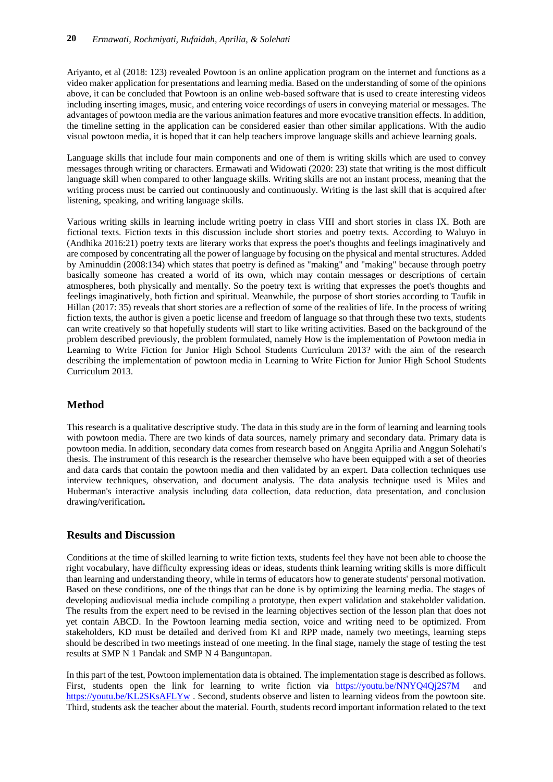Ariyanto, et al (2018: 123) revealed Powtoon is an online application program on the internet and functions as a video maker application for presentations and learning media. Based on the understanding of some of the opinions above, it can be concluded that Powtoon is an online web-based software that is used to create interesting videos including inserting images, music, and entering voice recordings of users in conveying material or messages. The advantages of powtoon media are the various animation features and more evocative transition effects. In addition, the timeline setting in the application can be considered easier than other similar applications. With the audio visual powtoon media, it is hoped that it can help teachers improve language skills and achieve learning goals.

Language skills that include four main components and one of them is writing skills which are used to convey messages through writing or characters. Ermawati and Widowati (2020: 23) state that writing is the most difficult language skill when compared to other language skills. Writing skills are not an instant process, meaning that the writing process must be carried out continuously and continuously. Writing is the last skill that is acquired after listening, speaking, and writing language skills.

Various writing skills in learning include writing poetry in class VIII and short stories in class IX. Both are fictional texts. Fiction texts in this discussion include short stories and poetry texts. According to Waluyo in (Andhika 2016:21) poetry texts are literary works that express the poet's thoughts and feelings imaginatively and are composed by concentrating all the power of language by focusing on the physical and mental structures. Added by Aminuddin (2008:134) which states that poetry is defined as "making" and "making" because through poetry basically someone has created a world of its own, which may contain messages or descriptions of certain atmospheres, both physically and mentally. So the poetry text is writing that expresses the poet's thoughts and feelings imaginatively, both fiction and spiritual. Meanwhile, the purpose of short stories according to Taufik in Hillan (2017: 35) reveals that short stories are a reflection of some of the realities of life. In the process of writing fiction texts, the author is given a poetic license and freedom of language so that through these two texts, students can write creatively so that hopefully students will start to like writing activities. Based on the background of the problem described previously, the problem formulated, namely How is the implementation of Powtoon media in Learning to Write Fiction for Junior High School Students Curriculum 2013? with the aim of the research describing the implementation of powtoon media in Learning to Write Fiction for Junior High School Students Curriculum 2013.

## **Method**

This research is a qualitative descriptive study. The data in this study are in the form of learning and learning tools with powtoon media. There are two kinds of data sources, namely primary and secondary data. Primary data is powtoon media. In addition, secondary data comes from research based on Anggita Aprilia and Anggun Solehati's thesis. The instrument of this research is the researcher themselve who have been equipped with a set of theories and data cards that contain the powtoon media and then validated by an expert. Data collection techniques use interview techniques, observation, and document analysis. The data analysis technique used is Miles and Huberman's interactive analysis including data collection, data reduction, data presentation, and conclusion drawing/verification**.**

## **Results and Discussion**

Conditions at the time of skilled learning to write fiction texts, students feel they have not been able to choose the right vocabulary, have difficulty expressing ideas or ideas, students think learning writing skills is more difficult than learning and understanding theory, while in terms of educators how to generate students' personal motivation. Based on these conditions, one of the things that can be done is by optimizing the learning media. The stages of developing audiovisual media include compiling a prototype, then expert validation and stakeholder validation. The results from the expert need to be revised in the learning objectives section of the lesson plan that does not yet contain ABCD. In the Powtoon learning media section, voice and writing need to be optimized. From stakeholders, KD must be detailed and derived from KI and RPP made, namely two meetings, learning steps should be described in two meetings instead of one meeting. In the final stage, namely the stage of testing the test results at SMP N 1 Pandak and SMP N 4 Banguntapan.

In this part of the test, Powtoon implementation data is obtained. The implementation stage is described as follows. First, students open the link for learning to write fiction via <https://youtu.be/NNYQ4Qj2S7M> and <https://youtu.be/KL2SKsAFLYw> . Second, students observe and listen to learning videos from the powtoon site. Third, students ask the teacher about the material. Fourth, students record important information related to the text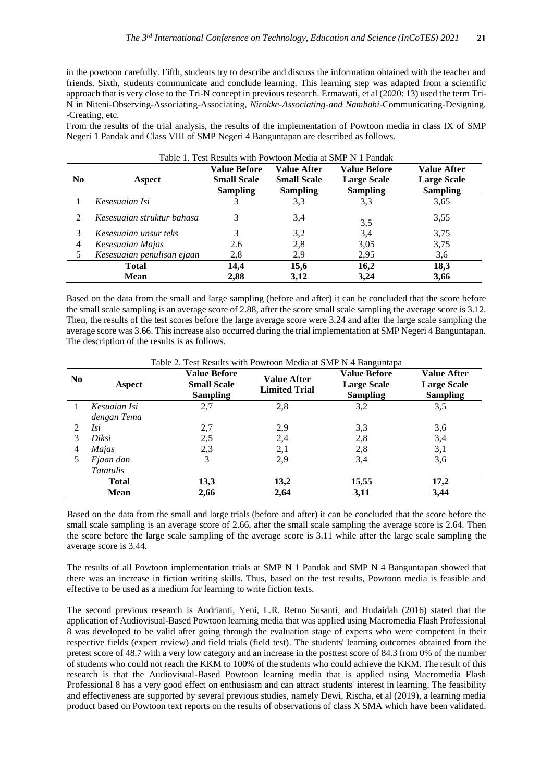in the powtoon carefully. Fifth, students try to describe and discuss the information obtained with the teacher and friends. Sixth, students communicate and conclude learning. This learning step was adapted from a scientific approach that is very close to the Tri-N concept in previous research. Ermawati, et al (2020: 13) used the term Tri-N in Niteni-Observing-Associating-Associating, *Nirokke-Associating-and Nambahi*-Communicating-Designing. -Creating, etc.

From the results of the trial analysis, the results of the implementation of Powtoon media in class IX of SMP Negeri 1 Pandak and Class VIII of SMP Negeri 4 Banguntapan are described as follows.

| Table 1. Test Results with Powtoon Media at SMP N 1 Pandak |                            |                                                              |                                                      |                                                              |                                                             |  |  |  |
|------------------------------------------------------------|----------------------------|--------------------------------------------------------------|------------------------------------------------------|--------------------------------------------------------------|-------------------------------------------------------------|--|--|--|
| N <sub>0</sub>                                             | Aspect                     | <b>Value Before</b><br><b>Small Scale</b><br><b>Sampling</b> | Value After<br><b>Small Scale</b><br><b>Sampling</b> | <b>Value Before</b><br><b>Large Scale</b><br><b>Sampling</b> | <b>Value After</b><br><b>Large Scale</b><br><b>Sampling</b> |  |  |  |
|                                                            | Kesesuaian Isi             | 3                                                            | 3,3                                                  | 3,3                                                          | 3,65                                                        |  |  |  |
| $\mathcal{D}_{\mathcal{L}}$                                | Kesesuaian struktur bahasa | 3                                                            | 3.4                                                  | 3,5                                                          | 3,55                                                        |  |  |  |
|                                                            | Kesesuaian unsur teks      | 3                                                            | 3,2                                                  | 3.4                                                          | 3,75                                                        |  |  |  |
| 4                                                          | Kesesuaian Majas           | 2.6                                                          | 2,8                                                  | 3,05                                                         | 3,75                                                        |  |  |  |
|                                                            | Kesesuaian penulisan ejaan | 2,8                                                          | 2,9                                                  | 2,95                                                         | 3,6                                                         |  |  |  |
|                                                            | <b>Total</b>               | 14,4                                                         | 15,6                                                 | 16,2                                                         | 18,3                                                        |  |  |  |
| <b>Mean</b>                                                |                            | 2,88                                                         | 3,12                                                 | 3,24                                                         | 3,66                                                        |  |  |  |

Based on the data from the small and large sampling (before and after) it can be concluded that the score before the small scale sampling is an average score of 2.88, after the score small scale sampling the average score is 3.12. Then, the results of the test scores before the large average score were 3.24 and after the large scale sampling the average score was 3.66. This increase also occurred during the trial implementation at SMP Negeri 4 Banguntapan. The description of the results is as follows.

| Table 2. Test Results with Powtoon Media at SMP N 4 Banguntapa |                               |                                                              |                                            |                                                              |                                                             |  |  |
|----------------------------------------------------------------|-------------------------------|--------------------------------------------------------------|--------------------------------------------|--------------------------------------------------------------|-------------------------------------------------------------|--|--|
| N <sub>0</sub>                                                 | <b>Aspect</b>                 | <b>Value Before</b><br><b>Small Scale</b><br><b>Sampling</b> | <b>Value After</b><br><b>Limited Trial</b> | <b>Value Before</b><br><b>Large Scale</b><br><b>Sampling</b> | <b>Value After</b><br><b>Large Scale</b><br><b>Sampling</b> |  |  |
|                                                                | Kesuaian Isi<br>dengan Tema   | 2,7                                                          | 2,8                                        | 3,2                                                          | 3,5                                                         |  |  |
| 2                                                              | Isi                           | 2,7                                                          | 2,9                                        | 3,3                                                          | 3,6                                                         |  |  |
| 3                                                              | Diksi                         | 2,5                                                          | 2,4                                        | 2,8                                                          | 3,4                                                         |  |  |
| 4                                                              | Majas                         | 2,3                                                          | 2,1                                        | 2,8                                                          | 3,1                                                         |  |  |
|                                                                | Ejaan dan<br><i>Tatatulis</i> | 3                                                            | 2,9                                        | 3.4                                                          | 3,6                                                         |  |  |
|                                                                | <b>Total</b>                  | 13,3                                                         | 13,2                                       | 15,55                                                        | 17,2                                                        |  |  |
|                                                                | <b>Mean</b>                   | 2,66                                                         | 2,64                                       | 3,11                                                         | 3,44                                                        |  |  |

Based on the data from the small and large trials (before and after) it can be concluded that the score before the small scale sampling is an average score of 2.66, after the small scale sampling the average score is 2.64. Then the score before the large scale sampling of the average score is 3.11 while after the large scale sampling the average score is 3.44.

The results of all Powtoon implementation trials at SMP N 1 Pandak and SMP N 4 Banguntapan showed that there was an increase in fiction writing skills. Thus, based on the test results, Powtoon media is feasible and effective to be used as a medium for learning to write fiction texts.

The second previous research is Andrianti, Yeni, L.R. Retno Susanti, and Hudaidah (2016) stated that the application of Audiovisual-Based Powtoon learning media that was applied using Macromedia Flash Professional 8 was developed to be valid after going through the evaluation stage of experts who were competent in their respective fields (expert review) and field trials (field test). The students' learning outcomes obtained from the pretest score of 48.7 with a very low category and an increase in the posttest score of 84.3 from 0% of the number of students who could not reach the KKM to 100% of the students who could achieve the KKM. The result of this research is that the Audiovisual-Based Powtoon learning media that is applied using Macromedia Flash Professional 8 has a very good effect on enthusiasm and can attract students' interest in learning. The feasibility and effectiveness are supported by several previous studies, namely Dewi, Rischa, et al (2019), a learning media product based on Powtoon text reports on the results of observations of class X SMA which have been validated.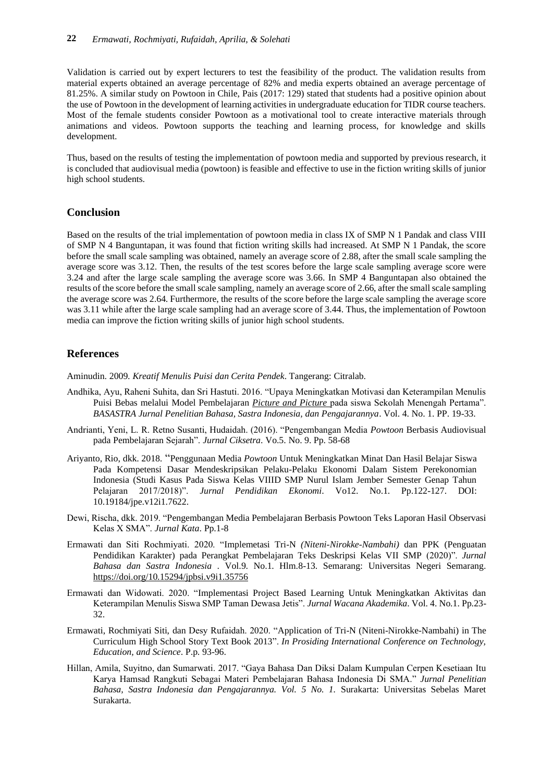Validation is carried out by expert lecturers to test the feasibility of the product. The validation results from material experts obtained an average percentage of 82% and media experts obtained an average percentage of 81.25%. A similar study on Powtoon in Chile, Pais (2017: 129) stated that students had a positive opinion about the use of Powtoon in the development of learning activities in undergraduate education for TIDR course teachers. Most of the female students consider Powtoon as a motivational tool to create interactive materials through animations and videos. Powtoon supports the teaching and learning process, for knowledge and skills development.

Thus, based on the results of testing the implementation of powtoon media and supported by previous research, it is concluded that audiovisual media (powtoon) is feasible and effective to use in the fiction writing skills of junior high school students.

#### **Conclusion**

Based on the results of the trial implementation of powtoon media in class IX of SMP N 1 Pandak and class VIII of SMP N 4 Banguntapan, it was found that fiction writing skills had increased. At SMP N 1 Pandak, the score before the small scale sampling was obtained, namely an average score of 2.88, after the small scale sampling the average score was 3.12. Then, the results of the test scores before the large scale sampling average score were 3.24 and after the large scale sampling the average score was 3.66. In SMP 4 Banguntapan also obtained the results of the score before the small scale sampling, namely an average score of 2.66, after the small scale sampling the average score was 2.64. Furthermore, the results of the score before the large scale sampling the average score was 3.11 while after the large scale sampling had an average score of 3.44. Thus, the implementation of Powtoon media can improve the fiction writing skills of junior high school students.

### **References**

Aminudin. 2009. *Kreatif Menulis Puisi dan Cerita Pendek*. Tangerang: Citralab.

- Andhika, Ayu, Raheni Suhita, dan Sri Hastuti. 2016. "Upaya Meningkatkan Motivasi dan Keterampilan Menulis Puisi Bebas melalui Model Pembelajaran *Picture and Picture* pada siswa Sekolah Menengah Pertama". *BASASTRA Jurnal Penelitian Bahasa, Sastra Indonesia, dan Pengajarannya*. Vol. 4. No. 1. PP. 19-33.
- Andrianti, Yeni, L. R. Retno Susanti, Hudaidah. (2016). "Pengembangan Media *Powtoon* Berbasis Audiovisual pada Pembelajaran Sejarah". *Jurnal Ciksetra*. Vo.5. No. 9. Pp. 58-68
- Ariyanto, Rio, dkk. 2018. "Penggunaan Media *Powtoon* Untuk Meningkatkan Minat Dan Hasil Belajar Siswa Pada Kompetensi Dasar Mendeskripsikan Pelaku-Pelaku Ekonomi Dalam Sistem Perekonomian Indonesia (Studi Kasus Pada Siswa Kelas VIIID SMP Nurul Islam Jember Semester Genap Tahun Pelajaran 2017/2018)". *Jurnal Pendidikan Ekonomi*. Vo12. No.1. Pp.122-127. DOI: 10.19184/jpe.v12i1.7622.
- Dewi, Rischa, dkk. 2019. "Pengembangan Media Pembelajaran Berbasis Powtoon Teks Laporan Hasil Observasi Kelas X SMA". *Jurnal Kata*. Pp.1-8
- Ermawati dan Siti Rochmiyati. 2020. "Implemetasi Tri-N *(Niteni-Nirokke-Nambahi)* dan PPK (Penguatan Pendidikan Karakter) pada Perangkat Pembelajaran Teks Deskripsi Kelas VII SMP (2020)". *Jurnal Bahasa dan Sastra Indonesia* . Vol.9. No.1. Hlm.8-13. Semarang: Universitas Negeri Semarang. <https://doi.org/10.15294/jpbsi.v9i1.35756>
- Ermawati dan Widowati. 2020. "Implementasi Project Based Learning Untuk Meningkatkan Aktivitas dan Keterampilan Menulis Siswa SMP Taman Dewasa Jetis". *Jurnal Wacana Akademika*. Vol. 4. No.1. Pp.23- 32.
- Ermawati, Rochmiyati Siti, dan Desy Rufaidah. 2020. "Application of Tri-N (Niteni-Nirokke-Nambahi) in The Curriculum High School Story Text Book 2013". *In Prosiding International Conference on Technology, Education, and Science*. P.p. 93-96.
- Hillan, Amila, Suyitno, dan Sumarwati. 2017. "Gaya Bahasa Dan Diksi Dalam Kumpulan Cerpen Kesetiaan Itu Karya Hamsad Rangkuti Sebagai Materi Pembelajaran Bahasa Indonesia Di SMA." *Jurnal Penelitian Bahasa, Sastra Indonesia dan Pengajarannya. Vol. 5 No. 1.* Surakarta: Universitas Sebelas Maret Surakarta.